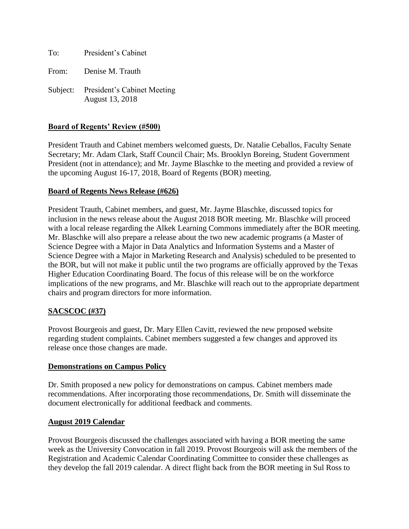To: President's Cabinet

From: Denise M. Trauth

Subject: President's Cabinet Meeting August 13, 2018

## **Board of Regents' Review (#500)**

President Trauth and Cabinet members welcomed guests, Dr. Natalie Ceballos, Faculty Senate Secretary; Mr. Adam Clark, Staff Council Chair; Ms. Brooklyn Boreing, Student Government President (not in attendance); and Mr. Jayme Blaschke to the meeting and provided a review of the upcoming August 16-17, 2018, Board of Regents (BOR) meeting.

### **Board of Regents News Release (#626)**

President Trauth, Cabinet members, and guest, Mr. Jayme Blaschke, discussed topics for inclusion in the news release about the August 2018 BOR meeting. Mr. Blaschke will proceed with a local release regarding the Alkek Learning Commons immediately after the BOR meeting. Mr. Blaschke will also prepare a release about the two new academic programs (a Master of Science Degree with a Major in Data Analytics and Information Systems and a Master of Science Degree with a Major in Marketing Research and Analysis) scheduled to be presented to the BOR, but will not make it public until the two programs are officially approved by the Texas Higher Education Coordinating Board. The focus of this release will be on the workforce implications of the new programs, and Mr. Blaschke will reach out to the appropriate department chairs and program directors for more information.

# **SACSCOC (#37)**

Provost Bourgeois and guest, Dr. Mary Ellen Cavitt, reviewed the new proposed website regarding student complaints. Cabinet members suggested a few changes and approved its release once those changes are made.

### **Demonstrations on Campus Policy**

Dr. Smith proposed a new policy for demonstrations on campus. Cabinet members made recommendations. After incorporating those recommendations, Dr. Smith will disseminate the document electronically for additional feedback and comments.

### **August 2019 Calendar**

Provost Bourgeois discussed the challenges associated with having a BOR meeting the same week as the University Convocation in fall 2019. Provost Bourgeois will ask the members of the Registration and Academic Calendar Coordinating Committee to consider these challenges as they develop the fall 2019 calendar. A direct flight back from the BOR meeting in Sul Ross to